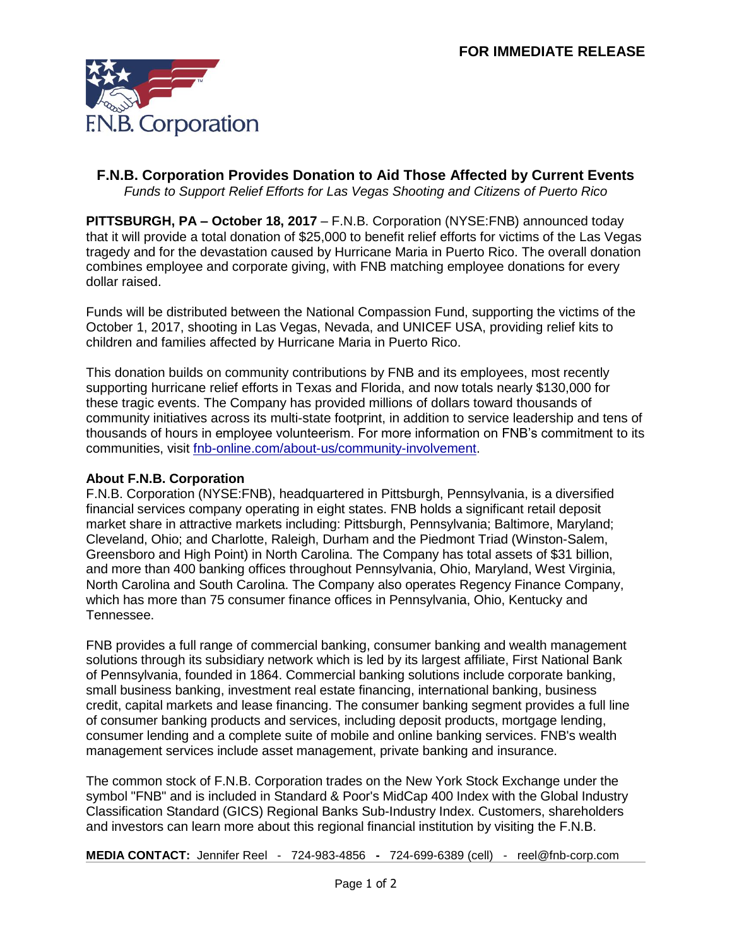

## **F.N.B. Corporation Provides Donation to Aid Those Affected by Current Events** *Funds to Support Relief Efforts for Las Vegas Shooting and Citizens of Puerto Rico*

**PITTSBURGH, PA – October 18, 2017** – F.N.B. Corporation (NYSE:FNB) announced today that it will provide a total donation of \$25,000 to benefit relief efforts for victims of the Las Vegas tragedy and for the devastation caused by Hurricane Maria in Puerto Rico. The overall donation combines employee and corporate giving, with FNB matching employee donations for every dollar raised.

Funds will be distributed between the National Compassion Fund, supporting the victims of the October 1, 2017, shooting in Las Vegas, Nevada, and UNICEF USA, providing relief kits to children and families affected by Hurricane Maria in Puerto Rico.

This donation builds on community contributions by FNB and its employees, most recently supporting hurricane relief efforts in Texas and Florida, and now totals nearly \$130,000 for these tragic events. The Company has provided millions of dollars toward thousands of community initiatives across its multi-state footprint, in addition to service leadership and tens of thousands of hours in employee volunteerism. For more information on FNB's commitment to its communities, visit [fnb-online.com/about-us/community-involvement.](https://www.fnb-online.com/about-us/community-involvement)

## **About F.N.B. Corporation**

F.N.B. Corporation (NYSE:FNB), headquartered in Pittsburgh, Pennsylvania, is a diversified financial services company operating in eight states. FNB holds a significant retail deposit market share in attractive markets including: Pittsburgh, Pennsylvania; Baltimore, Maryland; Cleveland, Ohio; and Charlotte, Raleigh, Durham and the Piedmont Triad (Winston-Salem, Greensboro and High Point) in North Carolina. The Company has total assets of \$31 billion, and more than 400 banking offices throughout Pennsylvania, Ohio, Maryland, West Virginia, North Carolina and South Carolina. The Company also operates Regency Finance Company, which has more than 75 consumer finance offices in Pennsylvania, Ohio, Kentucky and Tennessee.

FNB provides a full range of commercial banking, consumer banking and wealth management solutions through its subsidiary network which is led by its largest affiliate, First National Bank of Pennsylvania, founded in 1864. Commercial banking solutions include corporate banking, small business banking, investment real estate financing, international banking, business credit, capital markets and lease financing. The consumer banking segment provides a full line of consumer banking products and services, including deposit products, mortgage lending, consumer lending and a complete suite of mobile and online banking services. FNB's wealth management services include asset management, private banking and insurance.

The common stock of F.N.B. Corporation trades on the New York Stock Exchange under the symbol "FNB" and is included in Standard & Poor's MidCap 400 Index with the Global Industry Classification Standard (GICS) Regional Banks Sub-Industry Index. Customers, shareholders and investors can learn more about this regional financial institution by visiting the F.N.B.

**MEDIA CONTACT:** Jennifer Reel - 724-983-4856 **-** 724-699-6389 (cell) - reel@fnb-corp.com